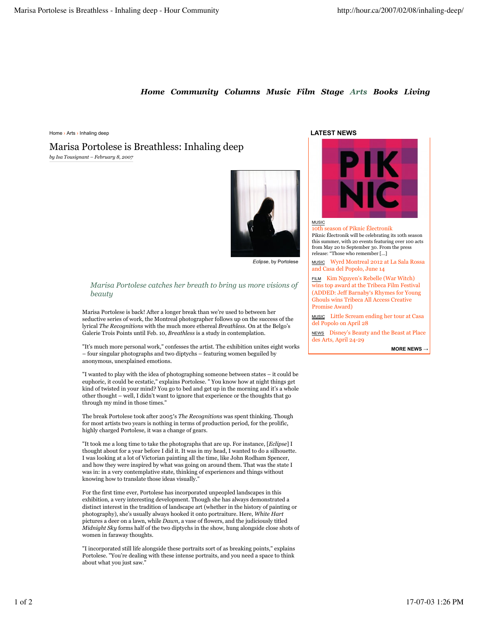# *Home Community Columns Music Film Stage Arts Books Living*

Home › Arts › Inhaling deep

*by Isa Tousignant – February 8, 2007* Marisa Portolese is Breathless: Inhaling deep



*Eclipse*, by Portolese

### *Marisa Portolese catches her breath to bring us more visions of beauty*

Marisa Portolese is back! After a longer break than we're used to between her seductive series of work, the Montreal photographer follows up on the success of the lyrical *The Recognitions* with the much more ethereal *Breathless*. On at the Belgo's Galerie Trois Points until Feb. 10, *Breathless* is a study in contemplation.

"It's much more personal work," confesses the artist. The exhibition unites eight works – four singular photographs and two diptychs – featuring women beguiled by anonymous, unexplained emotions.

"I wanted to play with the idea of photographing someone between states – it could be euphoric, it could be ecstatic," explains Portolese. " You know how at night things get kind of twisted in your mind? You go to bed and get up in the morning and it's a whole other thought – well, I didn't want to ignore that experience or the thoughts that go through my mind in those times."

The break Portolese took after 2005′s *The Recognitions* was spent thinking. Though for most artists two years is nothing in terms of production period, for the prolific, highly charged Portolese, it was a change of gears.

"It took me a long time to take the photographs that are up. For instance, [*Eclipse*] I thought about for a year before I did it. It was in my head, I wanted to do a silhouette. I was looking at a lot of Victorian painting all the time, like John Rodham Spencer, and how they were inspired by what was going on around them. That was the state I was in: in a very contemplative state, thinking of experiences and things without knowing how to translate those ideas visually."

For the first time ever, Portolese has incorporated unpeopled landscapes in this exhibition, a very interesting development. Though she has always demonstrated a distinct interest in the tradition of landscape art (whether in the history of painting or photography), she's usually always hooked it onto portraiture. Here, *White Hart* pictures a deer on a lawn, while *Dawn*, a vase of flowers, and the judiciously titled *Midnight Sky* forms half of the two diptychs in the show, hung alongside close shots of women in faraway thoughts.

"I incorporated still life alongside these portraits sort of as breaking points," explains Portolese. "You're dealing with these intense portraits, and you need a space to think about what you just saw."

### **LATEST NEWS**



#### MUSIC 10th season of Piknic Électronik

Piknic Électronik will be celebrating its 10th season this summer, with 20 events featuring over 100 acts from May 20 to September 30. From the press release: "Those who remember [...]

MUSIC Wyrd Montreal 2012 at La Sala Rossa and Casa del Popolo, June 14

FILM Kim Nguyen's Rebelle (War Witch) wins top award at the Tribeca Film Festival (ADDED: Jeff Barnaby's Rhymes for Young Ghouls wins Tribeca All Access Creative Promise Award)

MUSIC Little Scream ending her tour at Casa del Popolo on April 28

NEWS Disney's Beauty and the Beast at Place des Arts, April 24-29

**MORE NEWS**